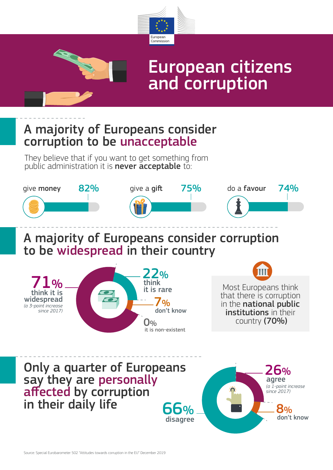

## European citizens and corruption

A majority of Europeans consider corruption to be unacceptable

They believe that if you want to get something from public administration it is **never acceptable** to: